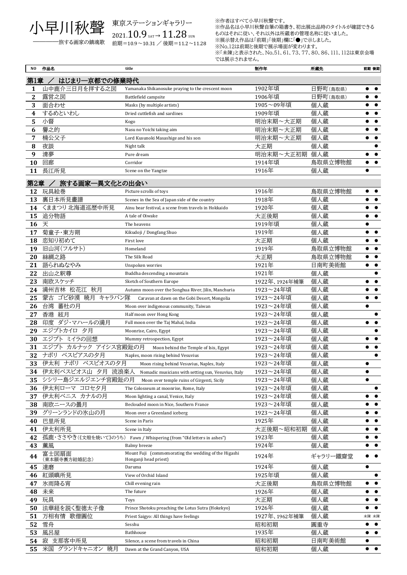

## ────旅する画家の鎮魂歌 前期=10.9~10.31 / 後期=11.2~11.28 東京ステーションギャラリー  $2021.10.9$  SAT  $\rightarrow$  11.28 SUN

※作者はすべて小早川秋聲です。 ※作品名は小早川秋聲自筆の箱書き、初出展出品時のタイトルが確認できる ものはそれに従い、それ以外は所蔵者の管理名称に従いました。 ※展示替え作品は「前期」「後期」欄に「●」で示しました。 ※No.12は前期と後期で展示場面が変わります。 ※「未陳」と表示された、No.51、61、73、77、80、86、111、112は東京会場 では展示されません。

| NO.   | 作品名                   | title                                                                         | 制作年           | 所蔵先      | 前期 後期                  |           |
|-------|-----------------------|-------------------------------------------------------------------------------|---------------|----------|------------------------|-----------|
| 第1章 / | はじまり一京都での修業時代         |                                                                               |               |          |                        |           |
| 1     | 山中鹿介三日月を拝する之図         | Yamanaka Shikanosuke praying to the crescent moon                             | 1902年頃        | 日野町(鳥取県) |                        |           |
| 2     | 露営之図                  | Battlefield campsite                                                          | 1906年頃        | 日野町(鳥取県) |                        |           |
| 3     | 面合わせ                  | Masks (by multiple artists)                                                   | 1905~09年頃     | 個人蔵      |                        |           |
| 4     | するめといわし               | Dried cuttlefish and sardines                                                 | 1909年頃        | 個人蔵      |                        |           |
| 5     | 小督                    | Kogo                                                                          | 明治末期~大正期      | 個人蔵      |                        |           |
| 6     | 譽之的                   | Nasu no Yoichi taking aim                                                     | 明治末期~大正期      | 個人蔵      |                        |           |
| 7     | 楠公父子                  | Lord Kusunoki Masashige and his son                                           | 明治末期~大正期      | 個人蔵      |                        |           |
| 8     | 夜談                    | Night talk                                                                    | 大正期           | 個人蔵      |                        |           |
| 9     | 清夢                    | Pure dream                                                                    | 明治末期~大正初期     | 個人蔵      |                        |           |
| 10    | 回廊                    | Corridor                                                                      | 1914年頃        | 鳥取県立博物館  |                        |           |
| 11    | 長江所見                  | Scene on the Yangtze                                                          | 1916年         | 個人蔵      | $\bullet$              |           |
|       |                       |                                                                               |               |          |                        |           |
|       | 第2章 / 旅する画家―異文化との出会い  |                                                                               |               |          |                        |           |
| 12    | 玩具絵巻                  | Picture scrolls of toys                                                       | 1916年         | 鳥取県立博物館  |                        |           |
| 13    | 裏日本所見畫譜               | Scenes in the Sea of Japan side of the country                                | 1918年         | 個人蔵      |                        |           |
| 14    | くままつり 北海道巡歴中所見        | Ainu bear festival, a scene from travels in Hokkaido                          | 1920年         | 個人蔵      |                        |           |
| 15    | 追分物語                  | A tale of Oiwake                                                              | 大正後期          | 個人蔵      |                        |           |
| 16    | 天                     | The heavens                                                                   | 1919年頃        | 個人蔵      |                        |           |
| 17    | 菊童子·東方朔               | Kikudoji / Dongfang Shuo                                                      | 1919年         | 個人蔵      |                        |           |
| 18    | 恋知り初めて                | First love                                                                    | 大正期           | 個人蔵      |                        |           |
| 19    | 旧山河(フルサト)             | Homeland                                                                      | 1919年         | 鳥取県立博物館  |                        |           |
| 20    | 絲綢之路                  | The Silk Road                                                                 | 大正期           | 鳥取県立博物館  |                        |           |
| 21    | 語られぬなやみ               | Unspoken worries                                                              | 1921年         | 日南町美術館   |                        |           |
| 22    | 出山之釈尊                 | Buddha descending a mountain                                                  | 1921年         | 個人蔵      |                        |           |
| 23    | 南欧スケッチ                | Sketch of Southern Europe                                                     | 1922年、1924年補筆 | 個人蔵      |                        |           |
| 24    | 満州吉林 松花江 秋月           | Autumn moon over the Songhua River, Jilin, Manchuria                          | 1923~24年頃     | 個人蔵      |                        |           |
| 25    | 蒙古 ゴビ砂漠 暁月 キャラバン隊     | Caravan at dawn on the Gobi Desert, Mongolia                                  | 1923~24年頃     | 個人蔵      |                        |           |
| 26    | 台湾 蕃杜の月               | Moon over indigenous community, Taiwan                                        | 1923~24年頃     | 個人蔵      |                        |           |
| 27    | 香港 絃月                 | Half moon over Hong Kong                                                      | 1923~24年頃     | 個人蔵      |                        |           |
| 28    | 印度 ダジ・マハールの満月         | Full moon over the Taj Mahal, India                                           | 1923~24年頃     | 個人蔵      |                        |           |
| 29    | エジプトカイロ 夕月            | Moonrise, Cairo, Egypt                                                        | 1923~24年頃     | 個人蔵      |                        |           |
| 30    | エジプト ミイラの回想           | Mummy retrospection, Egypt                                                    | 1923~24年頃     | 個人蔵      |                        |           |
| 31    | エジプト カルナック アイシス宮殿趾の月  | Moon behind the Temple of Isis, Egypt                                         | 1923~24年頃     | 個人蔵      |                        |           |
| 32    | ナポリ ベスビアスの夕月          | Naples, moon rising behind Vesuvius                                           | 1923~24年頃     | 個人蔵      |                        |           |
| 33    | 伊太利 ナポリ ベスビオスの夕月      | Moon rising behind Vesuvius, Naples, Italy                                    | 1923~24年頃     | 個人蔵      | $\bullet$              |           |
| 34    | 伊太利ベスビオス山 夕月 流浪楽人     | Nomadic musicians with setting sun, Vesuvius, Italy                           | 1923~24年頃     | 個人蔵      |                        |           |
|       | 35 シシリー島ジエルジエンチ宮殿趾の月  | Moon over temple ruins of Girgenti, Sicily                                    | 1923~24年頃     | 個人蔵      | $\bullet$              |           |
| 36    | 伊太利ローマ コロセ夕月          | The Colosseum at moonrise, Rome, Italy                                        | 1923~24年頃     | 個人蔵      |                        |           |
| 37    | 伊太利ベニス カナルの月          | Moon lighting a canal, Venice, Italy                                          | 1923~24年頃     | 個人蔵      |                        |           |
| 38    | 南欧ニースの曇月              | Beclouded moon in Nice, Southern France                                       | 1923~24年頃     | 個人蔵      |                        |           |
| 39    | グリーンランドの氷山の月          | Moon over a Greenland iceberg                                                 | 1923~24年頃     | 個人蔵      |                        |           |
| 40    | 巴里所見                  | Scene in Paris                                                                | 1925年         | 個人蔵      |                        |           |
| 41    | 伊太利所見                 | Scene in Italy                                                                | 大正後期~昭和初期     | 個人蔵      |                        |           |
| 42    | 孤鹿・ささやき(《文殻を焼いて》のうち)  | Fawn / Whispering (from "Old letters in ashes")                               | 1923年         | 個人蔵      |                        |           |
| 43    | 薫風                    | Balmy breeze                                                                  | 1924年         | 個人蔵      |                        |           |
| 44    | 富士図扇面<br>(東本願寺裏方結婚記念) | Mount Fuji (commemorating the wedding of the Higashi<br>Honganji head priest) | 1924年         | ギャラリー鐵齋堂 |                        |           |
| 45    | 達磨                    | Daruma                                                                        | 1924年         | 個人蔵      |                        |           |
| 46    | 紅頭嶼所見                 | View of Orchid Island                                                         | 1925年頃        | 個人蔵      |                        |           |
| 47    | 氷雨降る宵                 | Chill evening rain                                                            | 大正後期          | 鳥取県立博物館  |                        |           |
| 48    | 未来                    | The future                                                                    | 1926年         | 個人蔵      |                        |           |
| 49    | 玩具                    | Toys                                                                          | 大正期           | 個人蔵      |                        |           |
| 50    | 法華経を説く聖徳太子像           | Prince Shotoku preaching the Lotus Sutra (Hokekyo)                            | 1926年         | 個人蔵      |                        |           |
| 51    | 万相有情 歌僧圓位             | Priest Saigyo: All things have feelings                                       | 1927年、1962年補筆 | 個人蔵      | 未陳 未陳                  |           |
| 52    | 雪舟                    | Sesshu                                                                        | 昭和初期          | 圓重寺      |                        |           |
| 53    | 風呂屋                   | Bathhouse                                                                     | 1935年         | 個人蔵      |                        | $\bullet$ |
| 54    | 寂 支那客中所見              | Silence, a scene from travels in China                                        | 昭和初期          | 日南町美術館   |                        |           |
| 55    | 米国 グランドキャニオン<br>暁月    | Dawn at the Grand Canyon, USA                                                 | 昭和初期          | 個人蔵      | $\bullet$<br>$\bullet$ |           |